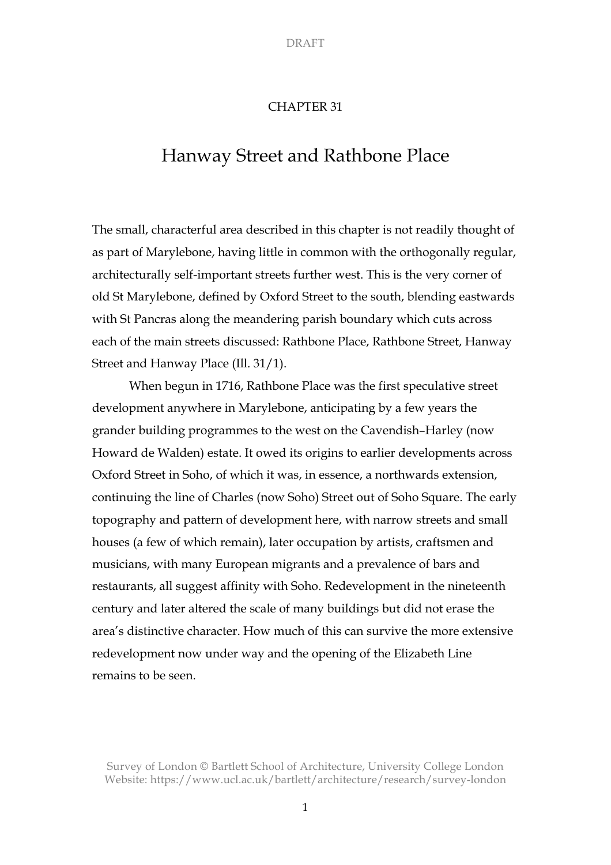# CHAPTER 31

# Hanway Street and Rathbone Place

The small, characterful area described in this chapter is not readily thought of as part of Marylebone, having little in common with the orthogonally regular, architecturally self-important streets further west. This is the very corner of old St Marylebone, defined by Oxford Street to the south, blending eastwards with St Pancras along the meandering parish boundary which cuts across each of the main streets discussed: Rathbone Place, Rathbone Street, Hanway Street and Hanway Place (Ill. 31/1).

When begun in 1716, Rathbone Place was the first speculative street development anywhere in Marylebone, anticipating by a few years the grander building programmes to the west on the Cavendish–Harley (now Howard de Walden) estate. It owed its origins to earlier developments across Oxford Street in Soho, of which it was, in essence, a northwards extension, continuing the line of Charles (now Soho) Street out of Soho Square. The early topography and pattern of development here, with narrow streets and small houses (a few of which remain), later occupation by artists, craftsmen and musicians, with many European migrants and a prevalence of bars and restaurants, all suggest affinity with Soho. Redevelopment in the nineteenth century and later altered the scale of many buildings but did not erase the area's distinctive character. How much of this can survive the more extensive redevelopment now under way and the opening of the Elizabeth Line remains to be seen.

Survey of London © Bartlett School of Architecture, University College London Website: https://www.ucl.ac.uk/bartlett/architecture/research/survey-london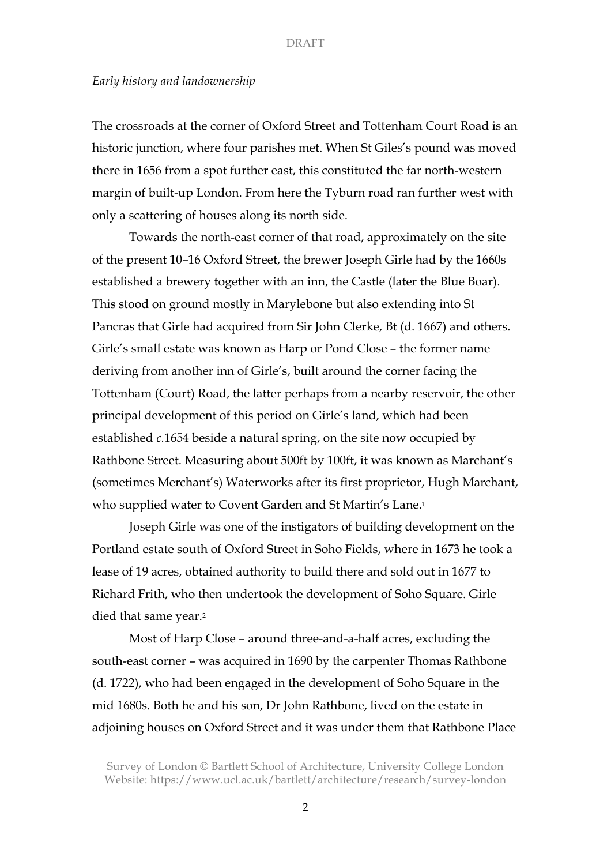# *Early history and landownership*

The crossroads at the corner of Oxford Street and Tottenham Court Road is an historic junction, where four parishes met. When St Giles's pound was moved there in 1656 from a spot further east, this constituted the far north-western margin of built-up London. From here the Tyburn road ran further west with only a scattering of houses along its north side.

Towards the north-east corner of that road, approximately on the site of the present 10–16 Oxford Street, the brewer Joseph Girle had by the 1660s established a brewery together with an inn, the Castle (later the Blue Boar). This stood on ground mostly in Marylebone but also extending into St Pancras that Girle had acquired from Sir John Clerke, Bt (d. 1667) and others. Girle's small estate was known as Harp or Pond Close – the former name deriving from another inn of Girle's, built around the corner facing the Tottenham (Court) Road, the latter perhaps from a nearby reservoir, the other principal development of this period on Girle's land, which had been established *c.*1654 beside a natural spring, on the site now occupied by Rathbone Street. Measuring about 500ft by 100ft, it was known as Marchant's (sometimes Merchant's) Waterworks after its first proprietor, Hugh Marchant, who supplied water to Covent Garden and St Martin's Lane.1

Joseph Girle was one of the instigators of building development on the Portland estate south of Oxford Street in Soho Fields, where in 1673 he took a lease of 19 acres, obtained authority to build there and sold out in 1677 to Richard Frith, who then undertook the development of Soho Square. Girle died that same year.2

Most of Harp Close – around three-and-a-half acres, excluding the south-east corner – was acquired in 1690 by the carpenter Thomas Rathbone (d. 1722), who had been engaged in the development of Soho Square in the mid 1680s. Both he and his son, Dr John Rathbone, lived on the estate in adjoining houses on Oxford Street and it was under them that Rathbone Place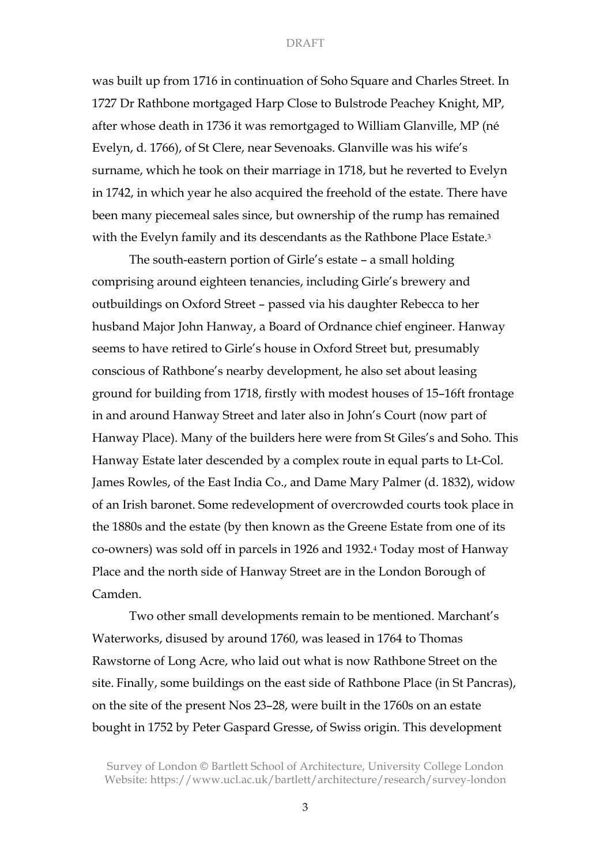was built up from 1716 in continuation of Soho Square and Charles Street. In 1727 Dr Rathbone mortgaged Harp Close to Bulstrode Peachey Knight, MP, after whose death in 1736 it was remortgaged to William Glanville, MP (né Evelyn, d. 1766), of St Clere, near Sevenoaks. Glanville was his wife's surname, which he took on their marriage in 1718, but he reverted to Evelyn in 1742, in which year he also acquired the freehold of the estate. There have been many piecemeal sales since, but ownership of the rump has remained with the Evelyn family and its descendants as the Rathbone Place Estate.<sup>3</sup>

The south-eastern portion of Girle's estate – a small holding comprising around eighteen tenancies, including Girle's brewery and outbuildings on Oxford Street – passed via his daughter Rebecca to her husband Major John Hanway, a Board of Ordnance chief engineer. Hanway seems to have retired to Girle's house in Oxford Street but, presumably conscious of Rathbone's nearby development, he also set about leasing ground for building from 1718, firstly with modest houses of 15–16ft frontage in and around Hanway Street and later also in John's Court (now part of Hanway Place). Many of the builders here were from St Giles's and Soho. This Hanway Estate later descended by a complex route in equal parts to Lt-Col. James Rowles, of the East India Co., and Dame Mary Palmer (d. 1832), widow of an Irish baronet. Some redevelopment of overcrowded courts took place in the 1880s and the estate (by then known as the Greene Estate from one of its co-owners) was sold off in parcels in 1926 and 1932.4 Today most of Hanway Place and the north side of Hanway Street are in the London Borough of Camden.

Two other small developments remain to be mentioned. Marchant's Waterworks, disused by around 1760, was leased in 1764 to Thomas Rawstorne of Long Acre, who laid out what is now Rathbone Street on the site. Finally, some buildings on the east side of Rathbone Place (in St Pancras), on the site of the present Nos 23–28, were built in the 1760s on an estate bought in 1752 by Peter Gaspard Gresse, of Swiss origin. This development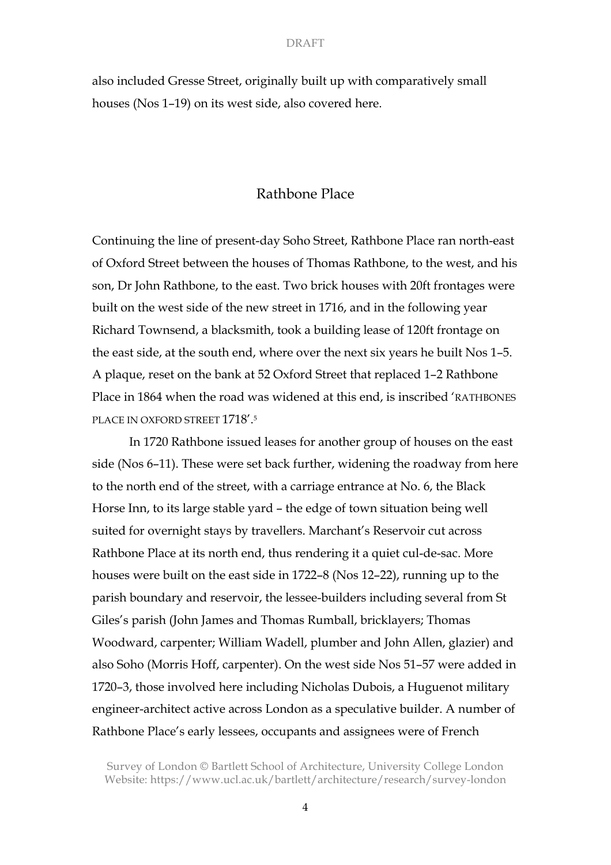also included Gresse Street, originally built up with comparatively small houses (Nos 1–19) on its west side, also covered here.

# Rathbone Place

Continuing the line of present-day Soho Street, Rathbone Place ran north-east of Oxford Street between the houses of Thomas Rathbone, to the west, and his son, Dr John Rathbone, to the east. Two brick houses with 20ft frontages were built on the west side of the new street in 1716, and in the following year Richard Townsend, a blacksmith, took a building lease of 120ft frontage on the east side, at the south end, where over the next six years he built Nos 1–5. A plaque, reset on the bank at 52 Oxford Street that replaced 1–2 Rathbone Place in 1864 when the road was widened at this end, is inscribed 'RATHBONES PLACE IN OXFORD STREET 1718'.<sup>5</sup>

In 1720 Rathbone issued leases for another group of houses on the east side (Nos 6–11). These were set back further, widening the roadway from here to the north end of the street, with a carriage entrance at No. 6, the Black Horse Inn, to its large stable yard – the edge of town situation being well suited for overnight stays by travellers. Marchant's Reservoir cut across Rathbone Place at its north end, thus rendering it a quiet cul-de-sac. More houses were built on the east side in 1722–8 (Nos 12–22), running up to the parish boundary and reservoir, the lessee-builders including several from St Giles's parish (John James and Thomas Rumball, bricklayers; Thomas Woodward, carpenter; William Wadell, plumber and John Allen, glazier) and also Soho (Morris Hoff, carpenter). On the west side Nos 51–57 were added in 1720–3, those involved here including Nicholas Dubois, a Huguenot military engineer-architect active across London as a speculative builder. A number of Rathbone Place's early lessees, occupants and assignees were of French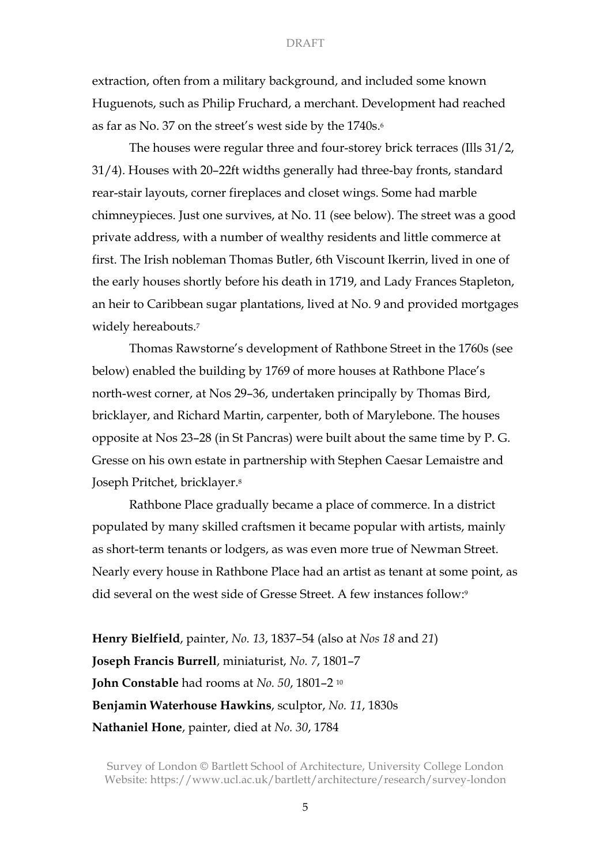extraction, often from a military background, and included some known Huguenots, such as Philip Fruchard, a merchant. Development had reached as far as No. 37 on the street's west side by the 1740s.6

The houses were regular three and four-storey brick terraces (Ills 31/2, 31/4). Houses with 20–22ft widths generally had three-bay fronts, standard rear-stair layouts, corner fireplaces and closet wings. Some had marble chimneypieces. Just one survives, at No. 11 (see below). The street was a good private address, with a number of wealthy residents and little commerce at first. The Irish nobleman Thomas Butler, 6th Viscount Ikerrin, lived in one of the early houses shortly before his death in 1719, and Lady Frances Stapleton, an heir to Caribbean sugar plantations, lived at No. 9 and provided mortgages widely hereabouts.<sup>7</sup>

Thomas Rawstorne's development of Rathbone Street in the 1760s (see below) enabled the building by 1769 of more houses at Rathbone Place's north-west corner, at Nos 29–36, undertaken principally by Thomas Bird, bricklayer, and Richard Martin, carpenter, both of Marylebone. The houses opposite at Nos 23–28 (in St Pancras) were built about the same time by P. G. Gresse on his own estate in partnership with Stephen Caesar Lemaistre and Joseph Pritchet, bricklayer.8

Rathbone Place gradually became a place of commerce. In a district populated by many skilled craftsmen it became popular with artists, mainly as short-term tenants or lodgers, as was even more true of Newman Street. Nearly every house in Rathbone Place had an artist as tenant at some point, as did several on the west side of Gresse Street. A few instances follow:9

**Henry Bielfield**, painter, *No. 13*, 1837–54 (also at *Nos 18* and *21*) **Joseph Francis Burrell**, miniaturist, *No. 7*, 1801–7 **John Constable** had rooms at *No. 50*, 1801–2 <sup>10</sup> **Benjamin Waterhouse Hawkins**, sculptor, *No. 11*, 1830s **Nathaniel Hone**, painter, died at *No. 30*, 1784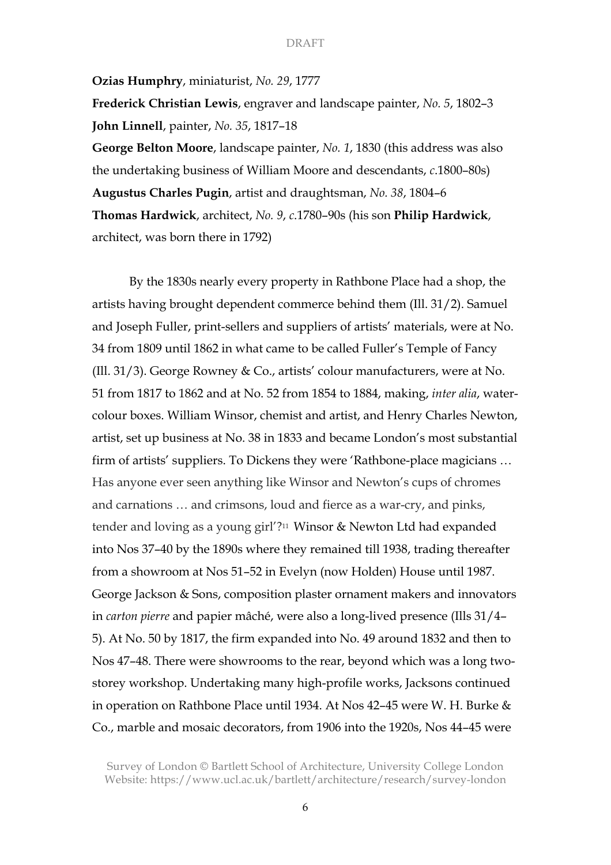**Ozias Humphry**, miniaturist, *No. 29*, 1777

**Frederick Christian Lewis**, engraver and landscape painter, *No. 5*, 1802–3 **John Linnell**, painter, *No. 35*, 1817–18

**George Belton Moore**, landscape painter, *No. 1*, 1830 (this address was also the undertaking business of William Moore and descendants, *c*.1800–80s) **Augustus Charles Pugin**, artist and draughtsman, *No. 38*, 1804–6 **Thomas Hardwick**, architect, *No. 9*, *c*.1780–90s (his son **Philip Hardwick**, architect, was born there in 1792)

By the 1830s nearly every property in Rathbone Place had a shop, the artists having brought dependent commerce behind them (Ill. 31/2). Samuel and Joseph Fuller, print-sellers and suppliers of artists' materials, were at No. 34 from 1809 until 1862 in what came to be called Fuller's Temple of Fancy (Ill. 31/3). George Rowney & Co., artists' colour manufacturers, were at No. 51 from 1817 to 1862 and at No. 52 from 1854 to 1884, making, *inter alia*, watercolour boxes. William Winsor, chemist and artist, and Henry Charles Newton, artist, set up business at No. 38 in 1833 and became London's most substantial firm of artists' suppliers. To Dickens they were 'Rathbone-place magicians … Has anyone ever seen anything like Winsor and Newton's cups of chromes and carnations … and crimsons, loud and fierce as a war-cry, and pinks, tender and loving as a young girl'?11 Winsor & Newton Ltd had expanded into Nos 37–40 by the 1890s where they remained till 1938, trading thereafter from a showroom at Nos 51–52 in Evelyn (now Holden) House until 1987. George Jackson & Sons, composition plaster ornament makers and innovators in *carton pierre* and papier mâché, were also a long-lived presence (Ills 31/4– 5). At No. 50 by 1817, the firm expanded into No. 49 around 1832 and then to Nos 47–48. There were showrooms to the rear, beyond which was a long twostorey workshop. Undertaking many high-profile works, Jacksons continued in operation on Rathbone Place until 1934. At Nos 42–45 were W. H. Burke & Co., marble and mosaic decorators, from 1906 into the 1920s, Nos 44–45 were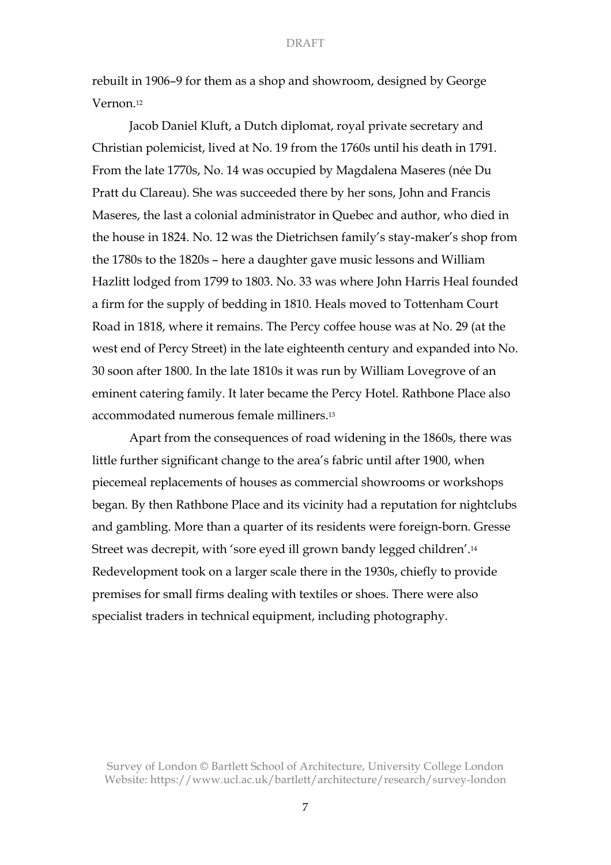rebuilt in 1906–9 for them as a shop and showroom, designed by George Vernon.12

Jacob Daniel Kluft, a Dutch diplomat, royal private secretary and Christian polemicist, lived at No. 19 from the 1760s until his death in 1791. From the late 1770s, No. 14 was occupied by Magdalena Maseres (née Du Pratt du Clareau). She was succeeded there by her sons, John and Francis Maseres, the last a colonial administrator in Quebec and author, who died in the house in 1824. No. 12 was the Dietrichsen family's stay-maker's shop from the 1780s to the 1820s – here a daughter gave music lessons and William Hazlitt lodged from 1799 to 1803. No. 33 was where John Harris Heal founded a firm for the supply of bedding in 1810. Heals moved to Tottenham Court Road in 1818, where it remains. The Percy coffee house was at No. 29 (at the west end of Percy Street) in the late eighteenth century and expanded into No. 30 soon after 1800. In the late 1810s it was run by William Lovegrove of an eminent catering family. It later became the Percy Hotel. Rathbone Place also accommodated numerous female milliners.13

Apart from the consequences of road widening in the 1860s, there was little further significant change to the area's fabric until after 1900, when piecemeal replacements of houses as commercial showrooms or workshops began. By then Rathbone Place and its vicinity had a reputation for nightclubs and gambling. More than a quarter of its residents were foreign-born. Gresse Street was decrepit, with 'sore eyed ill grown bandy legged children'.14 Redevelopment took on a larger scale there in the 1930s, chiefly to provide premises for small firms dealing with textiles or shoes. There were also specialist traders in technical equipment, including photography.

Survey of London © Bartlett School of Architecture, University College London Website: https://www.ucl.ac.uk/bartlett/architecture/research/survey-london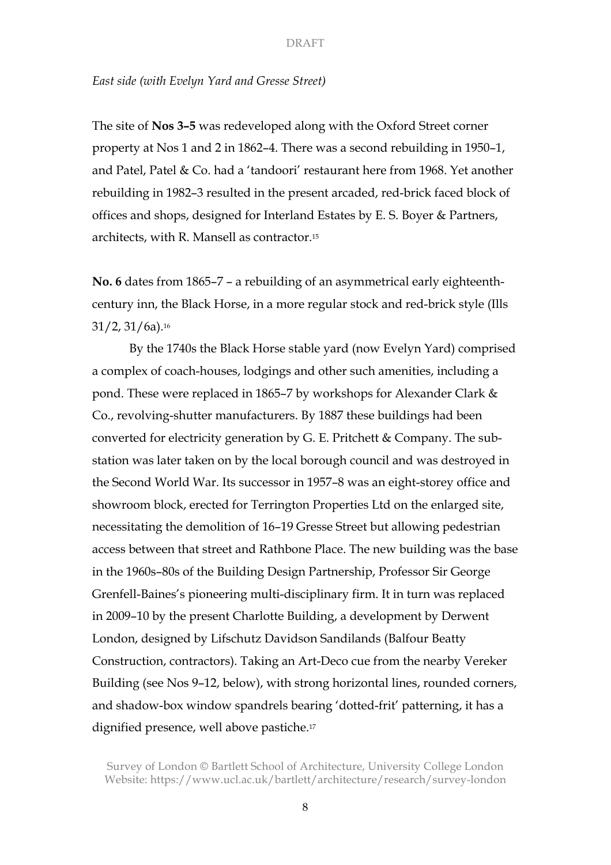# *East side (with Evelyn Yard and Gresse Street)*

The site of **Nos 3–5** was redeveloped along with the Oxford Street corner property at Nos 1 and 2 in 1862–4. There was a second rebuilding in 1950–1, and Patel, Patel & Co. had a 'tandoori' restaurant here from 1968. Yet another rebuilding in 1982–3 resulted in the present arcaded, red-brick faced block of offices and shops, designed for Interland Estates by E. S. Boyer & Partners, architects, with R. Mansell as contractor.15

**No. 6** dates from 1865–7 – a rebuilding of an asymmetrical early eighteenthcentury inn, the Black Horse, in a more regular stock and red-brick style (Ills  $31/2$ ,  $31/6a$ ).<sup>16</sup>

By the 1740s the Black Horse stable yard (now Evelyn Yard) comprised a complex of coach-houses, lodgings and other such amenities, including a pond. These were replaced in 1865–7 by workshops for Alexander Clark & Co., revolving-shutter manufacturers. By 1887 these buildings had been converted for electricity generation by G. E. Pritchett & Company. The substation was later taken on by the local borough council and was destroyed in the Second World War. Its successor in 1957–8 was an eight-storey office and showroom block, erected for Terrington Properties Ltd on the enlarged site, necessitating the demolition of 16–19 Gresse Street but allowing pedestrian access between that street and Rathbone Place. The new building was the base in the 1960s–80s of the Building Design Partnership, Professor Sir George Grenfell-Baines's pioneering multi-disciplinary firm. It in turn was replaced in 2009–10 by the present Charlotte Building, a development by Derwent London, designed by Lifschutz Davidson Sandilands (Balfour Beatty Construction, contractors). Taking an Art-Deco cue from the nearby Vereker Building (see Nos 9–12, below), with strong horizontal lines, rounded corners, and shadow-box window spandrels bearing 'dotted-frit' patterning, it has a dignified presence, well above pastiche.17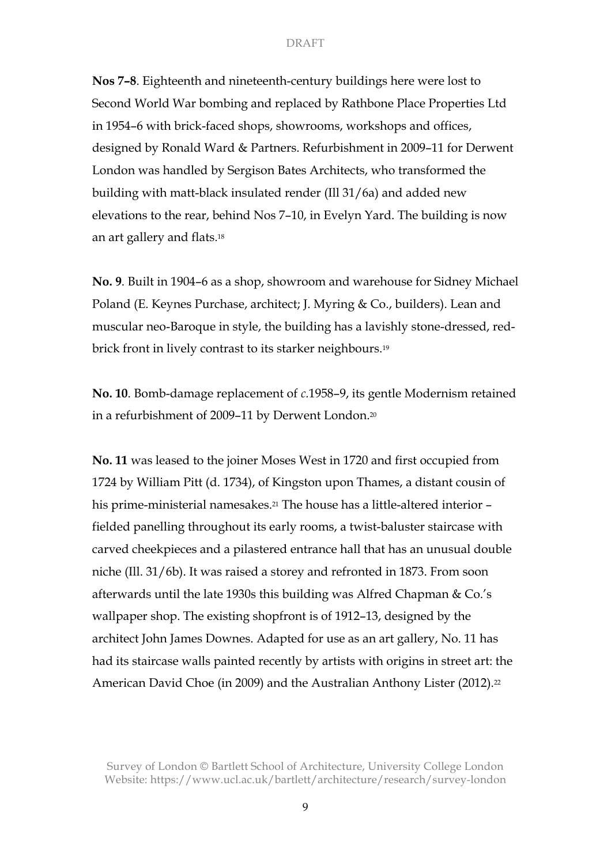**Nos 7–8**. Eighteenth and nineteenth-century buildings here were lost to Second World War bombing and replaced by Rathbone Place Properties Ltd in 1954–6 with brick-faced shops, showrooms, workshops and offices, designed by Ronald Ward & Partners. Refurbishment in 2009–11 for Derwent London was handled by Sergison Bates Architects, who transformed the building with matt-black insulated render (Ill 31/6a) and added new elevations to the rear, behind Nos 7–10, in Evelyn Yard. The building is now an art gallery and flats.18

**No. 9**. Built in 1904–6 as a shop, showroom and warehouse for Sidney Michael Poland (E. Keynes Purchase, architect; J. Myring & Co., builders). Lean and muscular neo-Baroque in style, the building has a lavishly stone-dressed, redbrick front in lively contrast to its starker neighbours.19

**No. 10**. Bomb-damage replacement of *c.*1958–9, its gentle Modernism retained in a refurbishment of 2009–11 by Derwent London.20

**No. 11** was leased to the joiner Moses West in 1720 and first occupied from 1724 by William Pitt (d. 1734), of Kingston upon Thames, a distant cousin of his prime-ministerial namesakes.<sup>21</sup> The house has a little-altered interior – fielded panelling throughout its early rooms, a twist-baluster staircase with carved cheekpieces and a pilastered entrance hall that has an unusual double niche (Ill. 31/6b). It was raised a storey and refronted in 1873. From soon afterwards until the late 1930s this building was Alfred Chapman & Co.'s wallpaper shop. The existing shopfront is of 1912–13, designed by the architect John James Downes. Adapted for use as an art gallery, No. 11 has had its staircase walls painted recently by artists with origins in street art: the American David Choe (in 2009) and the Australian Anthony Lister (2012).<sup>22</sup>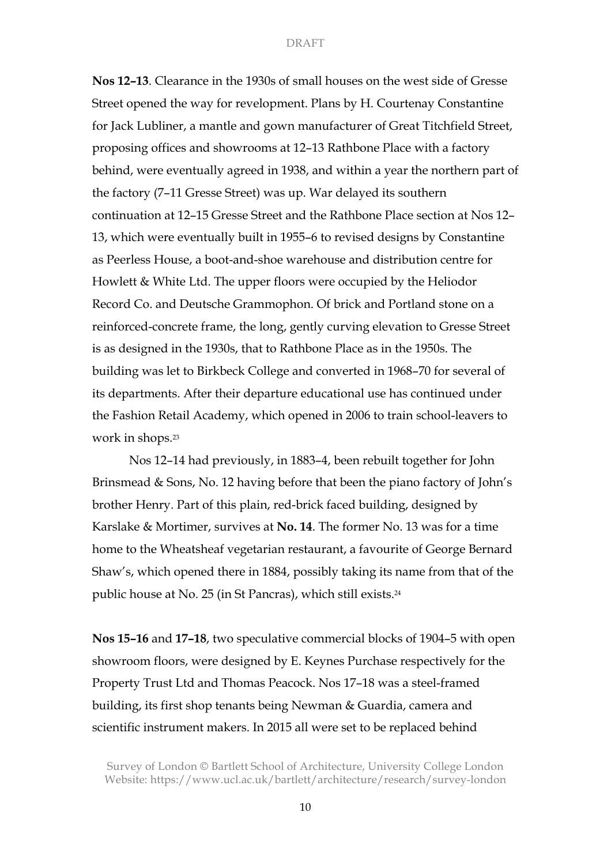**Nos 12–13**. Clearance in the 1930s of small houses on the west side of Gresse Street opened the way for revelopment. Plans by H. Courtenay Constantine for Jack Lubliner, a mantle and gown manufacturer of Great Titchfield Street, proposing offices and showrooms at 12–13 Rathbone Place with a factory behind, were eventually agreed in 1938, and within a year the northern part of the factory (7–11 Gresse Street) was up. War delayed its southern continuation at 12–15 Gresse Street and the Rathbone Place section at Nos 12– 13, which were eventually built in 1955–6 to revised designs by Constantine as Peerless House, a boot-and-shoe warehouse and distribution centre for Howlett & White Ltd. The upper floors were occupied by the Heliodor Record Co. and Deutsche Grammophon. Of brick and Portland stone on a reinforced-concrete frame, the long, gently curving elevation to Gresse Street is as designed in the 1930s, that to Rathbone Place as in the 1950s. The building was let to Birkbeck College and converted in 1968–70 for several of its departments. After their departure educational use has continued under the Fashion Retail Academy, which opened in 2006 to train school-leavers to work in shops.23

Nos 12–14 had previously, in 1883–4, been rebuilt together for John Brinsmead & Sons, No. 12 having before that been the piano factory of John's brother Henry. Part of this plain, red-brick faced building, designed by Karslake & Mortimer, survives at **No. 14**. The former No. 13 was for a time home to the Wheatsheaf vegetarian restaurant, a favourite of George Bernard Shaw's, which opened there in 1884, possibly taking its name from that of the public house at No. 25 (in St Pancras), which still exists.24

**Nos 15–16** and **17–18**, two speculative commercial blocks of 1904–5 with open showroom floors, were designed by E. Keynes Purchase respectively for the Property Trust Ltd and Thomas Peacock. Nos 17–18 was a steel-framed building, its first shop tenants being Newman & Guardia, camera and scientific instrument makers. In 2015 all were set to be replaced behind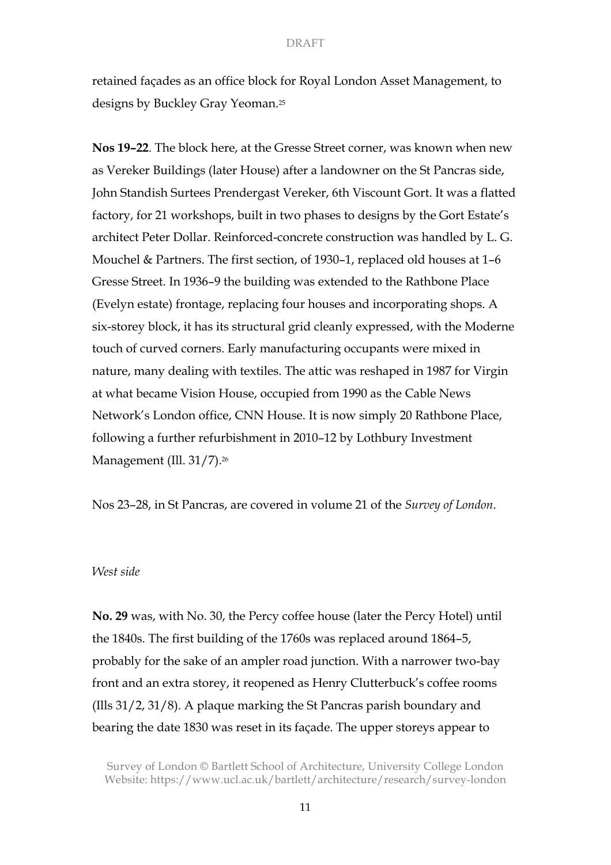retained façades as an office block for Royal London Asset Management, to designs by Buckley Gray Yeoman.25

**Nos 19–22**. The block here, at the Gresse Street corner, was known when new as Vereker Buildings (later House) after a landowner on the St Pancras side, John Standish Surtees Prendergast Vereker, 6th Viscount Gort. It was a flatted factory, for 21 workshops, built in two phases to designs by the Gort Estate's architect Peter Dollar. Reinforced-concrete construction was handled by L. G. Mouchel & Partners. The first section, of 1930–1, replaced old houses at 1–6 Gresse Street. In 1936–9 the building was extended to the Rathbone Place (Evelyn estate) frontage, replacing four houses and incorporating shops. A six-storey block, it has its structural grid cleanly expressed, with the Moderne touch of curved corners. Early manufacturing occupants were mixed in nature, many dealing with textiles. The attic was reshaped in 1987 for Virgin at what became Vision House, occupied from 1990 as the Cable News Network's London office, CNN House. It is now simply 20 Rathbone Place, following a further refurbishment in 2010–12 by Lothbury Investment Management (Ill. 31/7).26

Nos 23–28, in St Pancras, are covered in volume 21 of the *Survey of London*.

# *West side*

**No. 29** was, with No. 30, the Percy coffee house (later the Percy Hotel) until the 1840s. The first building of the 1760s was replaced around 1864–5, probably for the sake of an ampler road junction. With a narrower two-bay front and an extra storey, it reopened as Henry Clutterbuck's coffee rooms (Ills 31/2, 31/8). A plaque marking the St Pancras parish boundary and bearing the date 1830 was reset in its façade. The upper storeys appear to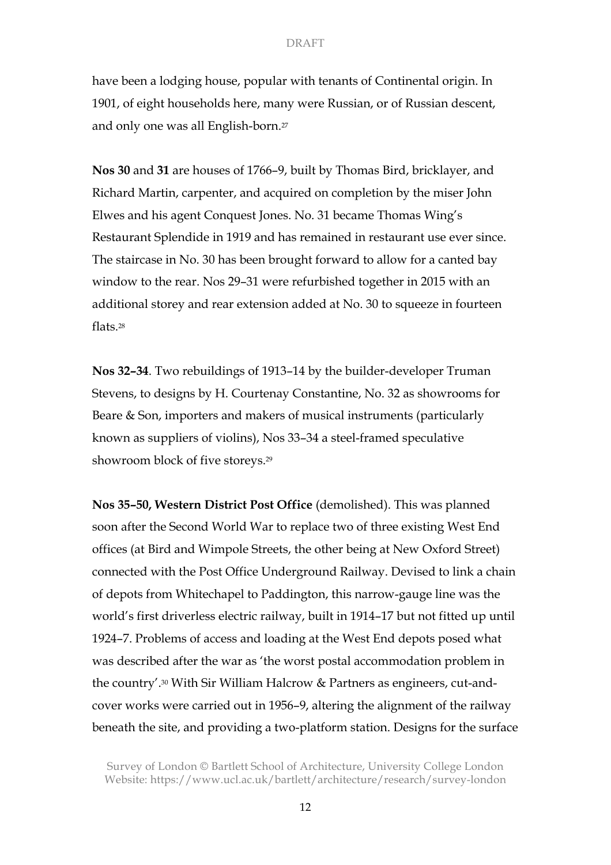have been a lodging house, popular with tenants of Continental origin. In 1901, of eight households here, many were Russian, or of Russian descent, and only one was all English-born.27

**Nos 30** and **31** are houses of 1766–9, built by Thomas Bird, bricklayer, and Richard Martin, carpenter, and acquired on completion by the miser John Elwes and his agent Conquest Jones. No. 31 became Thomas Wing's Restaurant Splendide in 1919 and has remained in restaurant use ever since. The staircase in No. 30 has been brought forward to allow for a canted bay window to the rear. Nos 29–31 were refurbished together in 2015 with an additional storey and rear extension added at No. 30 to squeeze in fourteen flats<sup>28</sup>

**Nos 32–34**. Two rebuildings of 1913–14 by the builder-developer Truman Stevens, to designs by H. Courtenay Constantine, No. 32 as showrooms for Beare & Son, importers and makers of musical instruments (particularly known as suppliers of violins), Nos 33–34 a steel-framed speculative showroom block of five storeys.29

**Nos 35–50, Western District Post Office** (demolished). This was planned soon after the Second World War to replace two of three existing West End offices (at Bird and Wimpole Streets, the other being at New Oxford Street) connected with the Post Office Underground Railway. Devised to link a chain of depots from Whitechapel to Paddington, this narrow-gauge line was the world's first driverless electric railway, built in 1914–17 but not fitted up until 1924–7. Problems of access and loading at the West End depots posed what was described after the war as 'the worst postal accommodation problem in the country'.30 With Sir William Halcrow & Partners as engineers, cut-andcover works were carried out in 1956–9, altering the alignment of the railway beneath the site, and providing a two-platform station. Designs for the surface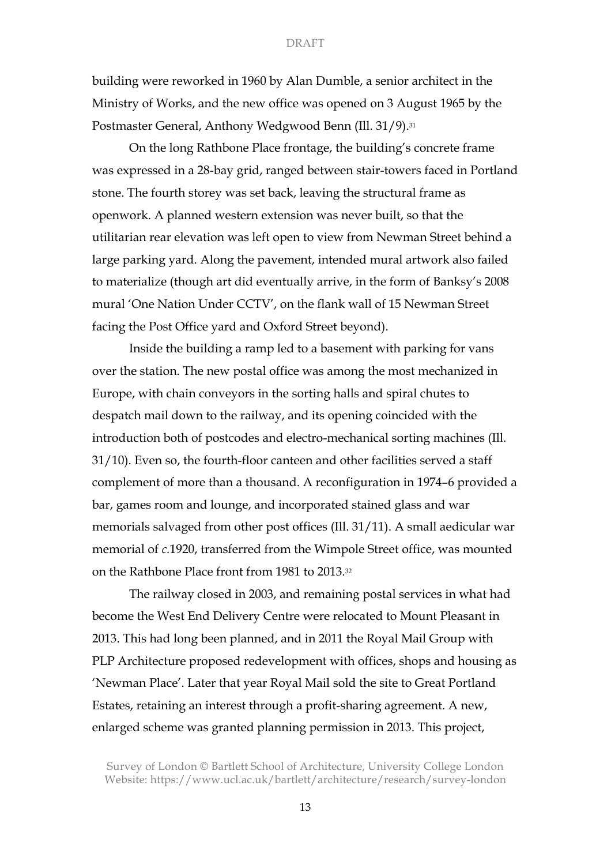building were reworked in 1960 by Alan Dumble, a senior architect in the Ministry of Works, and the new office was opened on 3 August 1965 by the Postmaster General, Anthony Wedgwood Benn (Ill. 31/9).31

On the long Rathbone Place frontage, the building's concrete frame was expressed in a 28-bay grid, ranged between stair-towers faced in Portland stone. The fourth storey was set back, leaving the structural frame as openwork. A planned western extension was never built, so that the utilitarian rear elevation was left open to view from Newman Street behind a large parking yard. Along the pavement, intended mural artwork also failed to materialize (though art did eventually arrive, in the form of Banksy's 2008 mural 'One Nation Under CCTV', on the flank wall of 15 Newman Street facing the Post Office yard and Oxford Street beyond).

Inside the building a ramp led to a basement with parking for vans over the station. The new postal office was among the most mechanized in Europe, with chain conveyors in the sorting halls and spiral chutes to despatch mail down to the railway, and its opening coincided with the introduction both of postcodes and electro-mechanical sorting machines (Ill. 31/10). Even so, the fourth-floor canteen and other facilities served a staff complement of more than a thousand. A reconfiguration in 1974–6 provided a bar, games room and lounge, and incorporated stained glass and war memorials salvaged from other post offices (Ill. 31/11). A small aedicular war memorial of *c.*1920, transferred from the Wimpole Street office, was mounted on the Rathbone Place front from 1981 to 2013.32

The railway closed in 2003, and remaining postal services in what had become the West End Delivery Centre were relocated to Mount Pleasant in 2013. This had long been planned, and in 2011 the Royal Mail Group with PLP Architecture proposed redevelopment with offices, shops and housing as 'Newman Place'. Later that year Royal Mail sold the site to Great Portland Estates, retaining an interest through a profit-sharing agreement. A new, enlarged scheme was granted planning permission in 2013. This project,

Survey of London © Bartlett School of Architecture, University College London Website: https://www.ucl.ac.uk/bartlett/architecture/research/survey-london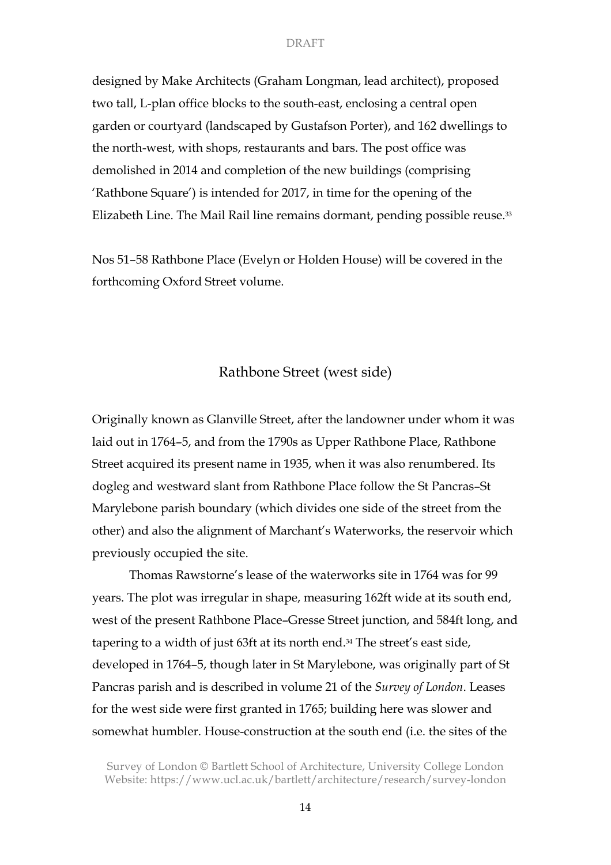designed by Make Architects (Graham Longman, lead architect), proposed two tall, L-plan office blocks to the south-east, enclosing a central open garden or courtyard (landscaped by Gustafson Porter), and 162 dwellings to the north-west, with shops, restaurants and bars. The post office was demolished in 2014 and completion of the new buildings (comprising 'Rathbone Square') is intended for 2017, in time for the opening of the Elizabeth Line. The Mail Rail line remains dormant, pending possible reuse.33

Nos 51–58 Rathbone Place (Evelyn or Holden House) will be covered in the forthcoming Oxford Street volume.

# Rathbone Street (west side)

Originally known as Glanville Street, after the landowner under whom it was laid out in 1764–5, and from the 1790s as Upper Rathbone Place, Rathbone Street acquired its present name in 1935, when it was also renumbered. Its dogleg and westward slant from Rathbone Place follow the St Pancras–St Marylebone parish boundary (which divides one side of the street from the other) and also the alignment of Marchant's Waterworks, the reservoir which previously occupied the site.

Thomas Rawstorne's lease of the waterworks site in 1764 was for 99 years. The plot was irregular in shape, measuring 162ft wide at its south end, west of the present Rathbone Place–Gresse Street junction, and 584ft long, and tapering to a width of just 63ft at its north end.34 The street's east side, developed in 1764–5, though later in St Marylebone, was originally part of St Pancras parish and is described in volume 21 of the *Survey of London*. Leases for the west side were first granted in 1765; building here was slower and somewhat humbler. House-construction at the south end (i.e. the sites of the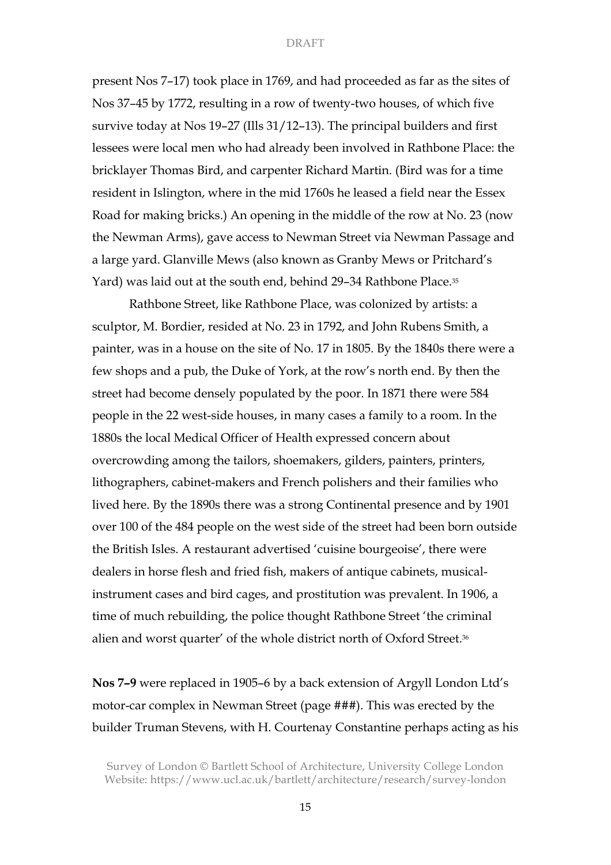present Nos 7–17) took place in 1769, and had proceeded as far as the sites of Nos 37–45 by 1772, resulting in a row of twenty-two houses, of which five survive today at Nos 19–27 (Ills 31/12–13). The principal builders and first lessees were local men who had already been involved in Rathbone Place: the bricklayer Thomas Bird, and carpenter Richard Martin. (Bird was for a time resident in Islington, where in the mid 1760s he leased a field near the Essex Road for making bricks.) An opening in the middle of the row at No. 23 (now the Newman Arms), gave access to Newman Street via Newman Passage and a large yard. Glanville Mews (also known as Granby Mews or Pritchard's Yard) was laid out at the south end, behind 29–34 Rathbone Place.<sup>35</sup>

Rathbone Street, like Rathbone Place, was colonized by artists: a sculptor, M. Bordier, resided at No. 23 in 1792, and John Rubens Smith, a painter, was in a house on the site of No. 17 in 1805. By the 1840s there were a few shops and a pub, the Duke of York, at the row's north end. By then the street had become densely populated by the poor. In 1871 there were 584 people in the 22 west-side houses, in many cases a family to a room. In the 1880s the local Medical Officer of Health expressed concern about overcrowding among the tailors, shoemakers, gilders, painters, printers, lithographers, cabinet-makers and French polishers and their families who lived here. By the 1890s there was a strong Continental presence and by 1901 over 100 of the 484 people on the west side of the street had been born outside the British Isles. A restaurant advertised 'cuisine bourgeoise', there were dealers in horse flesh and fried fish, makers of antique cabinets, musicalinstrument cases and bird cages, and prostitution was prevalent. In 1906, a time of much rebuilding, the police thought Rathbone Street 'the criminal alien and worst quarter' of the whole district north of Oxford Street.36

**Nos 7–9** were replaced in 1905–6 by a back extension of Argyll London Ltd's motor-car complex in Newman Street (page ###). This was erected by the builder Truman Stevens, with H. Courtenay Constantine perhaps acting as his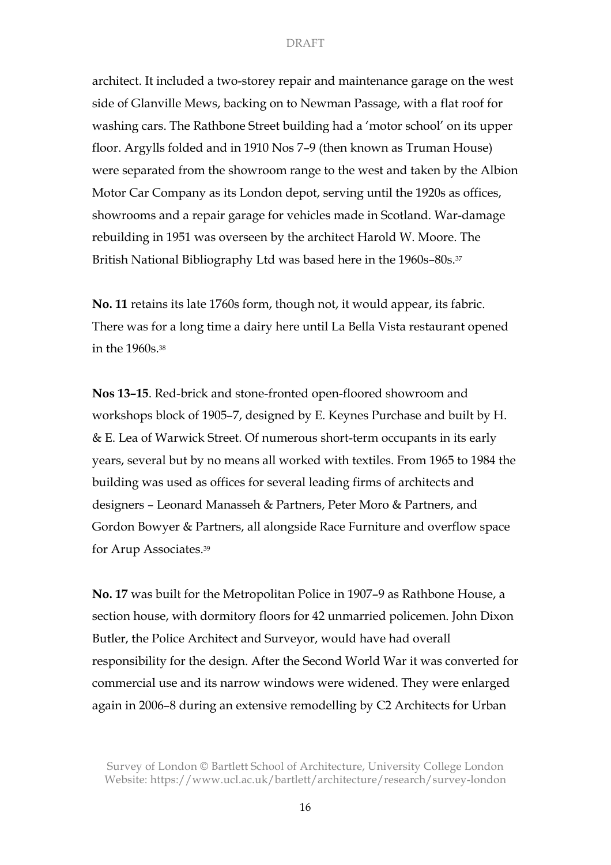architect. It included a two-storey repair and maintenance garage on the west side of Glanville Mews, backing on to Newman Passage, with a flat roof for washing cars. The Rathbone Street building had a 'motor school' on its upper floor. Argylls folded and in 1910 Nos 7–9 (then known as Truman House) were separated from the showroom range to the west and taken by the Albion Motor Car Company as its London depot, serving until the 1920s as offices, showrooms and a repair garage for vehicles made in Scotland. War-damage rebuilding in 1951 was overseen by the architect Harold W. Moore. The British National Bibliography Ltd was based here in the 1960s–80s.<sup>37</sup>

**No. 11** retains its late 1760s form, though not, it would appear, its fabric. There was for a long time a dairy here until La Bella Vista restaurant opened in the 1960s.38

**Nos 13–15**. Red-brick and stone-fronted open-floored showroom and workshops block of 1905–7, designed by E. Keynes Purchase and built by H. & E. Lea of Warwick Street. Of numerous short-term occupants in its early years, several but by no means all worked with textiles. From 1965 to 1984 the building was used as offices for several leading firms of architects and designers – Leonard Manasseh & Partners, Peter Moro & Partners, and Gordon Bowyer & Partners, all alongside Race Furniture and overflow space for Arup Associates.39

**No. 17** was built for the Metropolitan Police in 1907–9 as Rathbone House, a section house, with dormitory floors for 42 unmarried policemen. John Dixon Butler, the Police Architect and Surveyor, would have had overall responsibility for the design. After the Second World War it was converted for commercial use and its narrow windows were widened. They were enlarged again in 2006–8 during an extensive remodelling by C2 Architects for Urban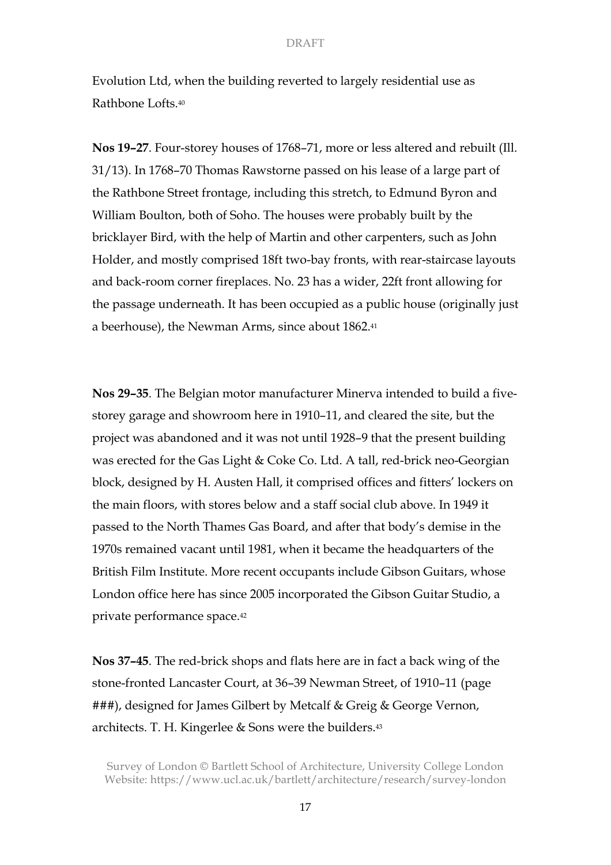Evolution Ltd, when the building reverted to largely residential use as Rathbone Lofts.40

**Nos 19–27**. Four-storey houses of 1768–71, more or less altered and rebuilt (Ill. 31/13). In 1768–70 Thomas Rawstorne passed on his lease of a large part of the Rathbone Street frontage, including this stretch, to Edmund Byron and William Boulton, both of Soho. The houses were probably built by the bricklayer Bird, with the help of Martin and other carpenters, such as John Holder, and mostly comprised 18ft two-bay fronts, with rear-staircase layouts and back-room corner fireplaces. No. 23 has a wider, 22ft front allowing for the passage underneath. It has been occupied as a public house (originally just a beerhouse), the Newman Arms, since about 1862.41

**Nos 29–35**. The Belgian motor manufacturer Minerva intended to build a fivestorey garage and showroom here in 1910–11, and cleared the site, but the project was abandoned and it was not until 1928–9 that the present building was erected for the Gas Light & Coke Co. Ltd. A tall, red-brick neo-Georgian block, designed by H. Austen Hall, it comprised offices and fitters' lockers on the main floors, with stores below and a staff social club above. In 1949 it passed to the North Thames Gas Board, and after that body's demise in the 1970s remained vacant until 1981, when it became the headquarters of the British Film Institute. More recent occupants include Gibson Guitars, whose London office here has since 2005 incorporated the Gibson Guitar Studio, a private performance space.42

**Nos 37–45**. The red-brick shops and flats here are in fact a back wing of the stone-fronted Lancaster Court, at 36–39 Newman Street, of 1910–11 (page ###), designed for James Gilbert by Metcalf & Greig & George Vernon, architects. T. H. Kingerlee & Sons were the builders.43

Survey of London © Bartlett School of Architecture, University College London Website: https://www.ucl.ac.uk/bartlett/architecture/research/survey-london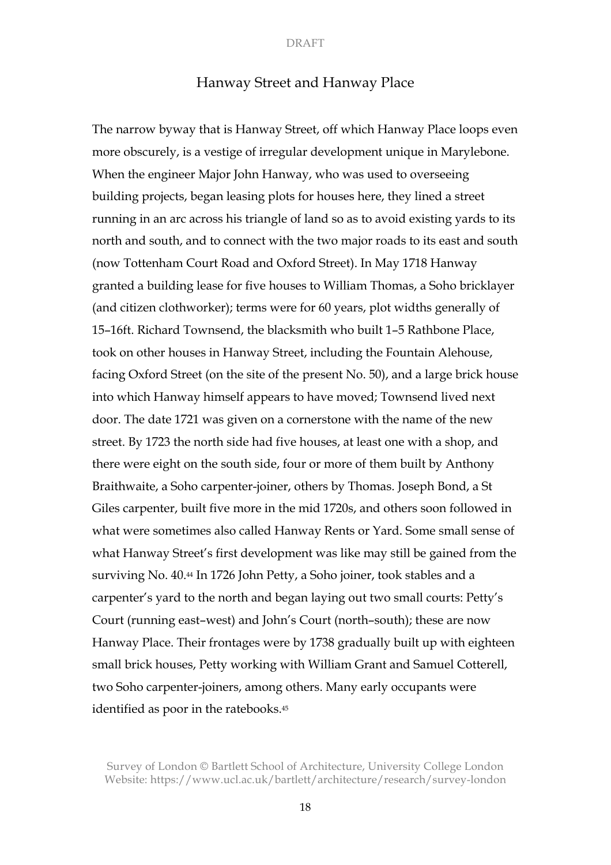# Hanway Street and Hanway Place

The narrow byway that is Hanway Street, off which Hanway Place loops even more obscurely, is a vestige of irregular development unique in Marylebone. When the engineer Major John Hanway, who was used to overseeing building projects, began leasing plots for houses here, they lined a street running in an arc across his triangle of land so as to avoid existing yards to its north and south, and to connect with the two major roads to its east and south (now Tottenham Court Road and Oxford Street). In May 1718 Hanway granted a building lease for five houses to William Thomas, a Soho bricklayer (and citizen clothworker); terms were for 60 years, plot widths generally of 15–16ft. Richard Townsend, the blacksmith who built 1–5 Rathbone Place, took on other houses in Hanway Street, including the Fountain Alehouse, facing Oxford Street (on the site of the present No. 50), and a large brick house into which Hanway himself appears to have moved; Townsend lived next door. The date 1721 was given on a cornerstone with the name of the new street. By 1723 the north side had five houses, at least one with a shop, and there were eight on the south side, four or more of them built by Anthony Braithwaite, a Soho carpenter-joiner, others by Thomas. Joseph Bond, a St Giles carpenter, built five more in the mid 1720s, and others soon followed in what were sometimes also called Hanway Rents or Yard. Some small sense of what Hanway Street's first development was like may still be gained from the surviving No. 40.44 In 1726 John Petty, a Soho joiner, took stables and a carpenter's yard to the north and began laying out two small courts: Petty's Court (running east–west) and John's Court (north–south); these are now Hanway Place. Their frontages were by 1738 gradually built up with eighteen small brick houses, Petty working with William Grant and Samuel Cotterell, two Soho carpenter-joiners, among others. Many early occupants were identified as poor in the ratebooks.45

Survey of London © Bartlett School of Architecture, University College London Website: https://www.ucl.ac.uk/bartlett/architecture/research/survey-london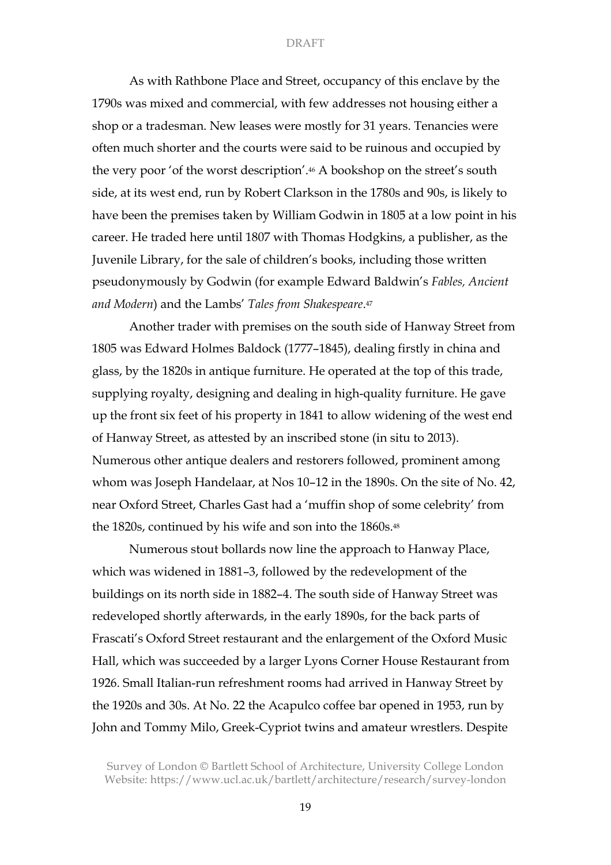As with Rathbone Place and Street, occupancy of this enclave by the 1790s was mixed and commercial, with few addresses not housing either a shop or a tradesman. New leases were mostly for 31 years. Tenancies were often much shorter and the courts were said to be ruinous and occupied by the very poor 'of the worst description'.46 A bookshop on the street's south side, at its west end, run by Robert Clarkson in the 1780s and 90s, is likely to have been the premises taken by William Godwin in 1805 at a low point in his career. He traded here until 1807 with Thomas Hodgkins, a publisher, as the Juvenile Library, for the sale of children's books, including those written pseudonymously by Godwin (for example Edward Baldwin's *Fables, Ancient and Modern*) and the Lambs' *Tales from Shakespeare*.47

Another trader with premises on the south side of Hanway Street from 1805 was Edward Holmes Baldock (1777–1845), dealing firstly in china and glass, by the 1820s in antique furniture. He operated at the top of this trade, supplying royalty, designing and dealing in high-quality furniture. He gave up the front six feet of his property in 1841 to allow widening of the west end of Hanway Street, as attested by an inscribed stone (in situ to 2013). Numerous other antique dealers and restorers followed, prominent among whom was Joseph Handelaar, at Nos 10–12 in the 1890s. On the site of No. 42, near Oxford Street, Charles Gast had a 'muffin shop of some celebrity' from the 1820s, continued by his wife and son into the 1860s.<sup>48</sup>

Numerous stout bollards now line the approach to Hanway Place, which was widened in 1881–3, followed by the redevelopment of the buildings on its north side in 1882–4. The south side of Hanway Street was redeveloped shortly afterwards, in the early 1890s, for the back parts of Frascati's Oxford Street restaurant and the enlargement of the Oxford Music Hall, which was succeeded by a larger Lyons Corner House Restaurant from 1926. Small Italian-run refreshment rooms had arrived in Hanway Street by the 1920s and 30s. At No. 22 the Acapulco coffee bar opened in 1953, run by John and Tommy Milo, Greek-Cypriot twins and amateur wrestlers. Despite

Survey of London © Bartlett School of Architecture, University College London Website: https://www.ucl.ac.uk/bartlett/architecture/research/survey-london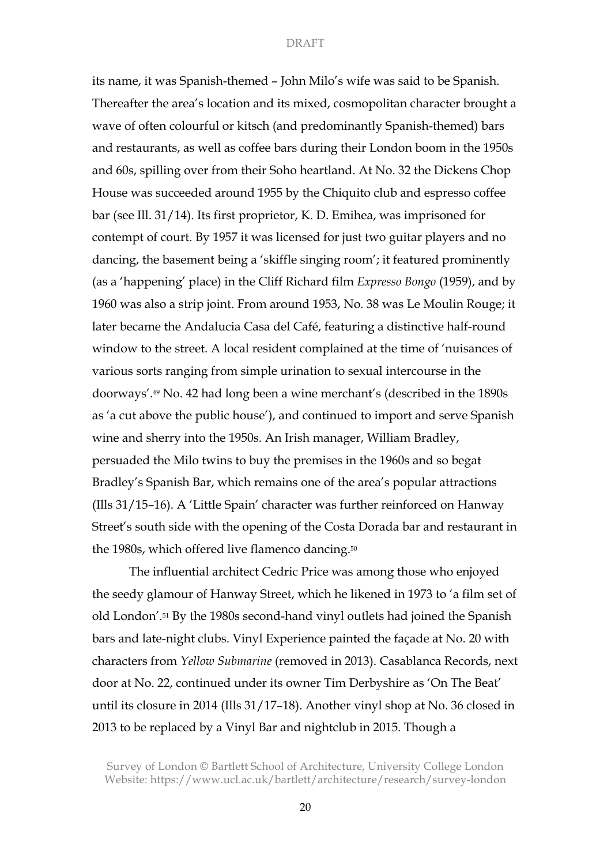its name, it was Spanish-themed – John Milo's wife was said to be Spanish. Thereafter the area's location and its mixed, cosmopolitan character brought a wave of often colourful or kitsch (and predominantly Spanish-themed) bars and restaurants, as well as coffee bars during their London boom in the 1950s and 60s, spilling over from their Soho heartland. At No. 32 the Dickens Chop House was succeeded around 1955 by the Chiquito club and espresso coffee bar (see Ill. 31/14). Its first proprietor, K. D. Emihea, was imprisoned for contempt of court. By 1957 it was licensed for just two guitar players and no dancing, the basement being a 'skiffle singing room'; it featured prominently (as a 'happening' place) in the Cliff Richard film *Expresso Bongo* (1959), and by 1960 was also a strip joint. From around 1953, No. 38 was Le Moulin Rouge; it later became the Andalucia Casa del Café, featuring a distinctive half-round window to the street. A local resident complained at the time of 'nuisances of various sorts ranging from simple urination to sexual intercourse in the doorways'.49 No. 42 had long been a wine merchant's (described in the 1890s as 'a cut above the public house'), and continued to import and serve Spanish wine and sherry into the 1950s. An Irish manager, William Bradley, persuaded the Milo twins to buy the premises in the 1960s and so begat Bradley's Spanish Bar, which remains one of the area's popular attractions (Ills 31/15–16). A 'Little Spain' character was further reinforced on Hanway Street's south side with the opening of the Costa Dorada bar and restaurant in the 1980s, which offered live flamenco dancing.50

The influential architect Cedric Price was among those who enjoyed the seedy glamour of Hanway Street, which he likened in 1973 to 'a film set of old London'.51 By the 1980s second-hand vinyl outlets had joined the Spanish bars and late-night clubs. Vinyl Experience painted the façade at No. 20 with characters from *Yellow Submarine* (removed in 2013). Casablanca Records, next door at No. 22, continued under its owner Tim Derbyshire as 'On The Beat' until its closure in 2014 (Ills 31/17–18). Another vinyl shop at No. 36 closed in 2013 to be replaced by a Vinyl Bar and nightclub in 2015. Though a

Survey of London © Bartlett School of Architecture, University College London Website: https://www.ucl.ac.uk/bartlett/architecture/research/survey-london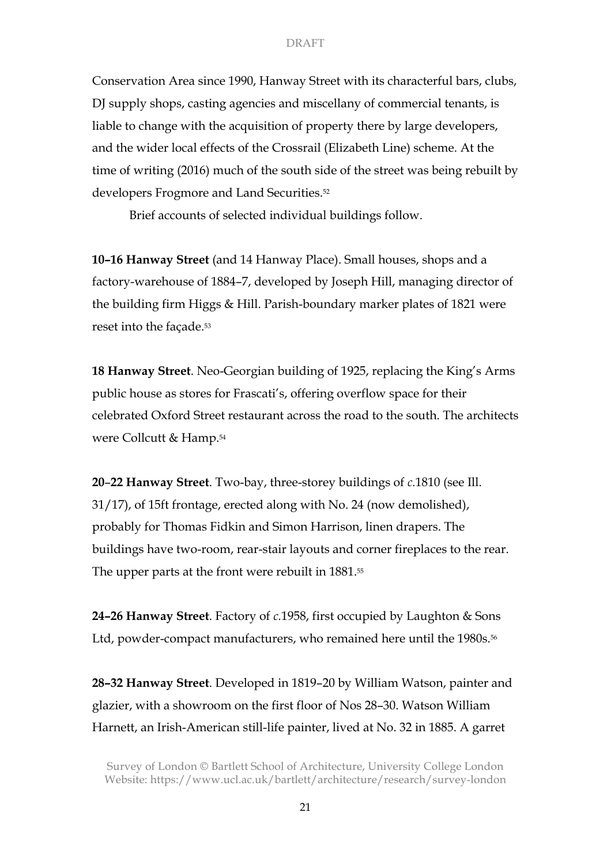Conservation Area since 1990, Hanway Street with its characterful bars, clubs, DJ supply shops, casting agencies and miscellany of commercial tenants, is liable to change with the acquisition of property there by large developers, and the wider local effects of the Crossrail (Elizabeth Line) scheme. At the time of writing (2016) much of the south side of the street was being rebuilt by developers Frogmore and Land Securities.52

Brief accounts of selected individual buildings follow.

**10–16 Hanway Street** (and 14 Hanway Place). Small houses, shops and a factory-warehouse of 1884–7, developed by Joseph Hill, managing director of the building firm Higgs & Hill. Parish-boundary marker plates of 1821 were reset into the façade.53

**18 Hanway Street**. Neo-Georgian building of 1925, replacing the King's Arms public house as stores for Frascati's, offering overflow space for their celebrated Oxford Street restaurant across the road to the south. The architects were Collcutt & Hamp.54

**20**–**22 Hanway Street**. Two-bay, three-storey buildings of *c.*1810 (see Ill. 31/17), of 15ft frontage, erected along with No. 24 (now demolished), probably for Thomas Fidkin and Simon Harrison, linen drapers. The buildings have two-room, rear-stair layouts and corner fireplaces to the rear. The upper parts at the front were rebuilt in 1881.55

**24–26 Hanway Street**. Factory of *c.*1958, first occupied by Laughton & Sons Ltd, powder-compact manufacturers, who remained here until the 1980s.<sup>56</sup>

**28–32 Hanway Street**. Developed in 1819–20 by William Watson, painter and glazier, with a showroom on the first floor of Nos 28–30. Watson William Harnett, an Irish-American still-life painter, lived at No. 32 in 1885. A garret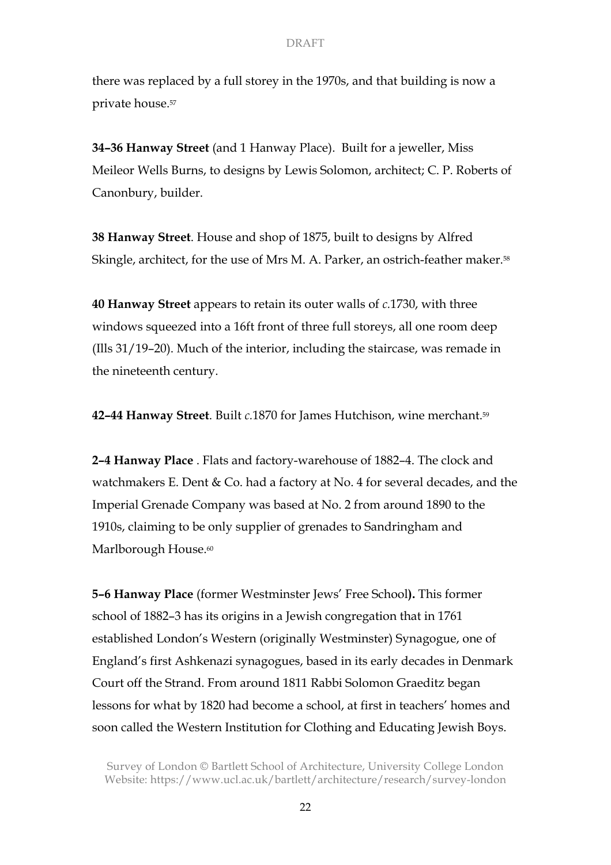there was replaced by a full storey in the 1970s, and that building is now a private house.57

**34–36 Hanway Street** (and 1 Hanway Place). Built for a jeweller, Miss Meileor Wells Burns, to designs by Lewis Solomon, architect; C. P. Roberts of Canonbury, builder.

**38 Hanway Street**. House and shop of 1875, built to designs by Alfred Skingle, architect, for the use of Mrs M. A. Parker, an ostrich-feather maker.<sup>58</sup>

**40 Hanway Street** appears to retain its outer walls of *c.*1730, with three windows squeezed into a 16ft front of three full storeys, all one room deep (Ills 31/19–20). Much of the interior, including the staircase, was remade in the nineteenth century.

**42–44 Hanway Street**. Built *c.*1870 for James Hutchison, wine merchant.59

**2–4 Hanway Place** . Flats and factory-warehouse of 1882–4. The clock and watchmakers E. Dent & Co. had a factory at No. 4 for several decades, and the Imperial Grenade Company was based at No. 2 from around 1890 to the 1910s, claiming to be only supplier of grenades to Sandringham and Marlborough House.<sup>60</sup>

**5–6 Hanway Place** (former Westminster Jews' Free School**).** This former school of 1882–3 has its origins in a Jewish congregation that in 1761 established London's Western (originally Westminster) Synagogue, one of England's first Ashkenazi synagogues, based in its early decades in Denmark Court off the Strand. From around 1811 Rabbi Solomon Graeditz began lessons for what by 1820 had become a school, at first in teachers' homes and soon called the Western Institution for Clothing and Educating Jewish Boys.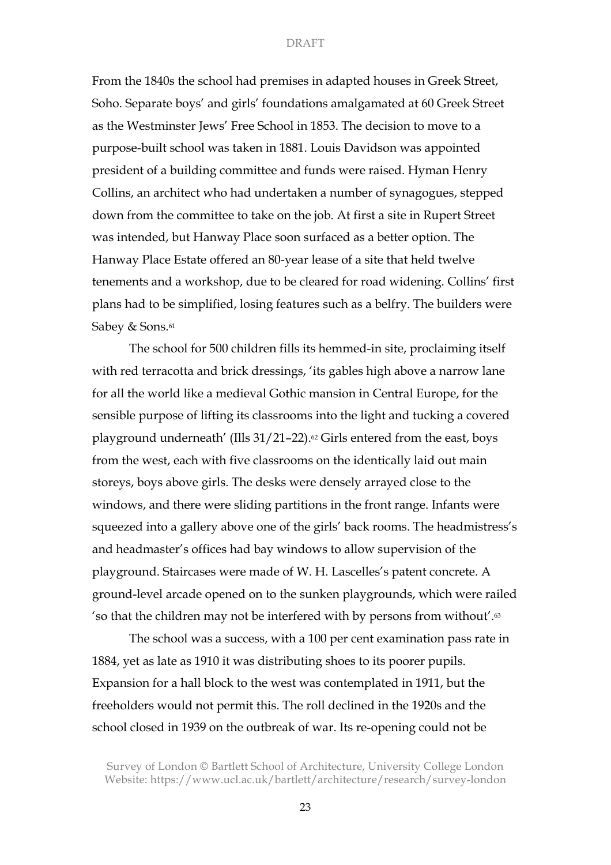From the 1840s the school had premises in adapted houses in Greek Street, Soho. Separate boys' and girls' foundations amalgamated at 60 Greek Street as the Westminster Jews' Free School in 1853. The decision to move to a purpose-built school was taken in 1881. Louis Davidson was appointed president of a building committee and funds were raised. Hyman Henry Collins, an architect who had undertaken a number of synagogues, stepped down from the committee to take on the job. At first a site in Rupert Street was intended, but Hanway Place soon surfaced as a better option. The Hanway Place Estate offered an 80-year lease of a site that held twelve tenements and a workshop, due to be cleared for road widening. Collins' first plans had to be simplified, losing features such as a belfry. The builders were Sabey & Sons.<sup>61</sup>

The school for 500 children fills its hemmed-in site, proclaiming itself with red terracotta and brick dressings, 'its gables high above a narrow lane for all the world like a medieval Gothic mansion in Central Europe, for the sensible purpose of lifting its classrooms into the light and tucking a covered playground underneath' (Ills  $31/21-22$ ).<sup>62</sup> Girls entered from the east, boys from the west, each with five classrooms on the identically laid out main storeys, boys above girls. The desks were densely arrayed close to the windows, and there were sliding partitions in the front range. Infants were squeezed into a gallery above one of the girls' back rooms. The headmistress's and headmaster's offices had bay windows to allow supervision of the playground. Staircases were made of W. H. Lascelles's patent concrete. A ground-level arcade opened on to the sunken playgrounds, which were railed 'so that the children may not be interfered with by persons from without'.63

The school was a success, with a 100 per cent examination pass rate in 1884, yet as late as 1910 it was distributing shoes to its poorer pupils. Expansion for a hall block to the west was contemplated in 1911, but the freeholders would not permit this. The roll declined in the 1920s and the school closed in 1939 on the outbreak of war. Its re-opening could not be

Survey of London © Bartlett School of Architecture, University College London Website: https://www.ucl.ac.uk/bartlett/architecture/research/survey-london